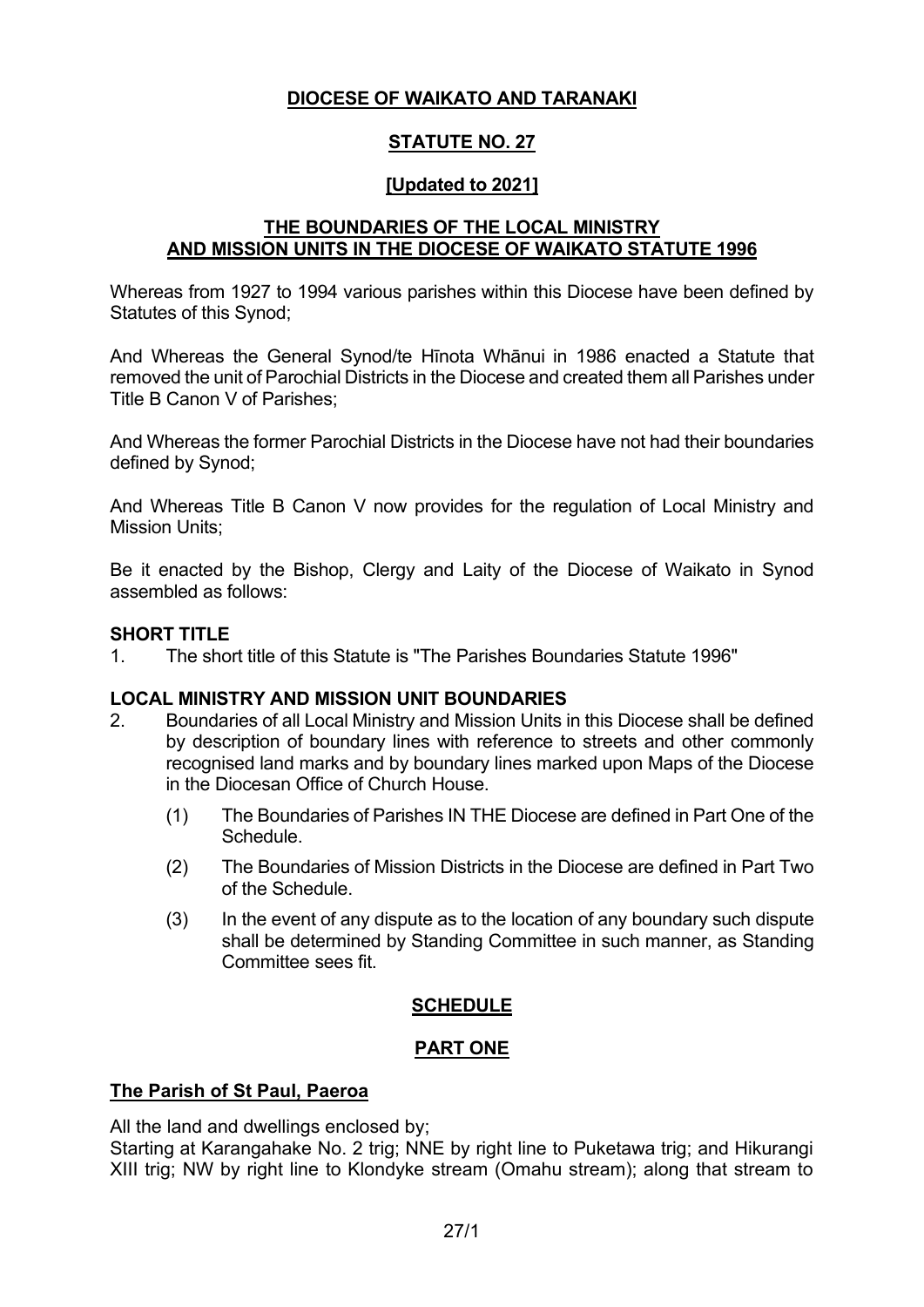### **DIOCESE OF WAIKATO AND TARANAKI**

# **STATUTE NO. 27**

#### **[Updated to 2021]**

## **THE BOUNDARIES OF THE LOCAL MINISTRY AND MISSION UNITS IN THE DIOCESE OF WAIKATO STATUTE 1996**

Whereas from 1927 to 1994 various parishes within this Diocese have been defined by Statutes of this Synod;

And Whereas the General Synod/te Hīnota Whānui in 1986 enacted a Statute that removed the unit of Parochial Districts in the Diocese and created them all Parishes under Title B Canon V of Parishes;

And Whereas the former Parochial Districts in the Diocese have not had their boundaries defined by Synod;

And Whereas Title B Canon V now provides for the regulation of Local Ministry and Mission Units;

Be it enacted by the Bishop, Clergy and Laity of the Diocese of Waikato in Synod assembled as follows:

#### **SHORT TITLE**

1. The short title of this Statute is "The Parishes Boundaries Statute 1996"

#### **LOCAL MINISTRY AND MISSION UNIT BOUNDARIES**

- 2. Boundaries of all Local Ministry and Mission Units in this Diocese shall be defined by description of boundary lines with reference to streets and other commonly recognised land marks and by boundary lines marked upon Maps of the Diocese in the Diocesan Office of Church House.
	- (1) The Boundaries of Parishes IN THE Diocese are defined in Part One of the **Schedule**
	- (2) The Boundaries of Mission Districts in the Diocese are defined in Part Two of the Schedule.
	- (3) In the event of any dispute as to the location of any boundary such dispute shall be determined by Standing Committee in such manner, as Standing Committee sees fit.

#### **SCHEDULE**

#### **PART ONE**

#### **The Parish of St Paul, Paeroa**

All the land and dwellings enclosed by;

Starting at Karangahake No. 2 trig; NNE by right line to Puketawa trig; and Hikurangi XIII trig; NW by right line to Klondyke stream (Omahu stream); along that stream to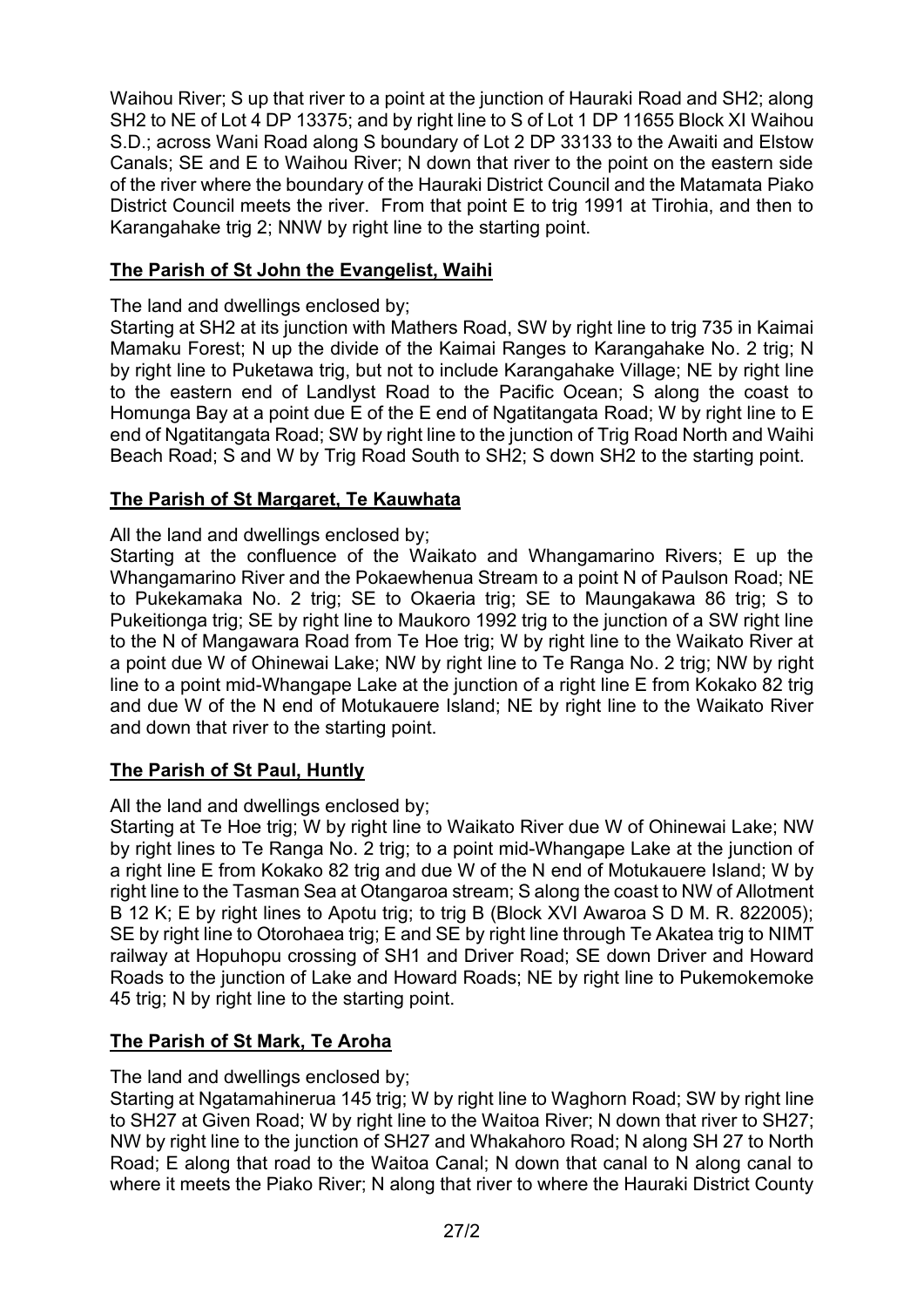Waihou River; S up that river to a point at the junction of Hauraki Road and SH2; along SH2 to NE of Lot 4 DP 13375; and by right line to S of Lot 1 DP 11655 Block XI Waihou S.D.; across Wani Road along S boundary of Lot 2 DP 33133 to the Awaiti and Elstow Canals; SE and E to Waihou River; N down that river to the point on the eastern side of the river where the boundary of the Hauraki District Council and the Matamata Piako District Council meets the river. From that point E to trig 1991 at Tirohia, and then to Karangahake trig 2; NNW by right line to the starting point.

# **The Parish of St John the Evangelist, Waihi**

The land and dwellings enclosed by;

Starting at SH2 at its junction with Mathers Road, SW by right line to trig 735 in Kaimai Mamaku Forest; N up the divide of the Kaimai Ranges to Karangahake No. 2 trig; N by right line to Puketawa trig, but not to include Karangahake Village; NE by right line to the eastern end of Landlyst Road to the Pacific Ocean; S along the coast to Homunga Bay at a point due E of the E end of Ngatitangata Road; W by right line to E end of Ngatitangata Road; SW by right line to the junction of Trig Road North and Waihi Beach Road; S and W by Trig Road South to SH2; S down SH2 to the starting point.

# **The Parish of St Margaret, Te Kauwhata**

All the land and dwellings enclosed by;

Starting at the confluence of the Waikato and Whangamarino Rivers; E up the Whangamarino River and the Pokaewhenua Stream to a point N of Paulson Road; NE to Pukekamaka No. 2 trig; SE to Okaeria trig; SE to Maungakawa 86 trig; S to Pukeitionga trig; SE by right line to Maukoro 1992 trig to the junction of a SW right line to the N of Mangawara Road from Te Hoe trig; W by right line to the Waikato River at a point due W of Ohinewai Lake; NW by right line to Te Ranga No. 2 trig; NW by right line to a point mid-Whangape Lake at the junction of a right line E from Kokako 82 trig and due W of the N end of Motukauere Island; NE by right line to the Waikato River and down that river to the starting point.

# **The Parish of St Paul, Huntly**

All the land and dwellings enclosed by;

Starting at Te Hoe trig; W by right line to Waikato River due W of Ohinewai Lake; NW by right lines to Te Ranga No. 2 trig; to a point mid-Whangape Lake at the junction of a right line E from Kokako 82 trig and due W of the N end of Motukauere Island; W by right line to the Tasman Sea at Otangaroa stream; S along the coast to NW of Allotment B 12 K; E by right lines to Apotu trig; to trig B (Block XVI Awaroa S D M. R. 822005); SE by right line to Otorohaea trig; E and SE by right line through Te Akatea trig to NIMT railway at Hopuhopu crossing of SH1 and Driver Road; SE down Driver and Howard Roads to the junction of Lake and Howard Roads; NE by right line to Pukemokemoke 45 trig; N by right line to the starting point.

# **The Parish of St Mark, Te Aroha**

The land and dwellings enclosed by;

Starting at Ngatamahinerua 145 trig; W by right line to Waghorn Road; SW by right line to SH27 at Given Road; W by right line to the Waitoa River; N down that river to SH27; NW by right line to the junction of SH27 and Whakahoro Road; N along SH 27 to North Road; E along that road to the Waitoa Canal; N down that canal to N along canal to where it meets the Piako River; N along that river to where the Hauraki District County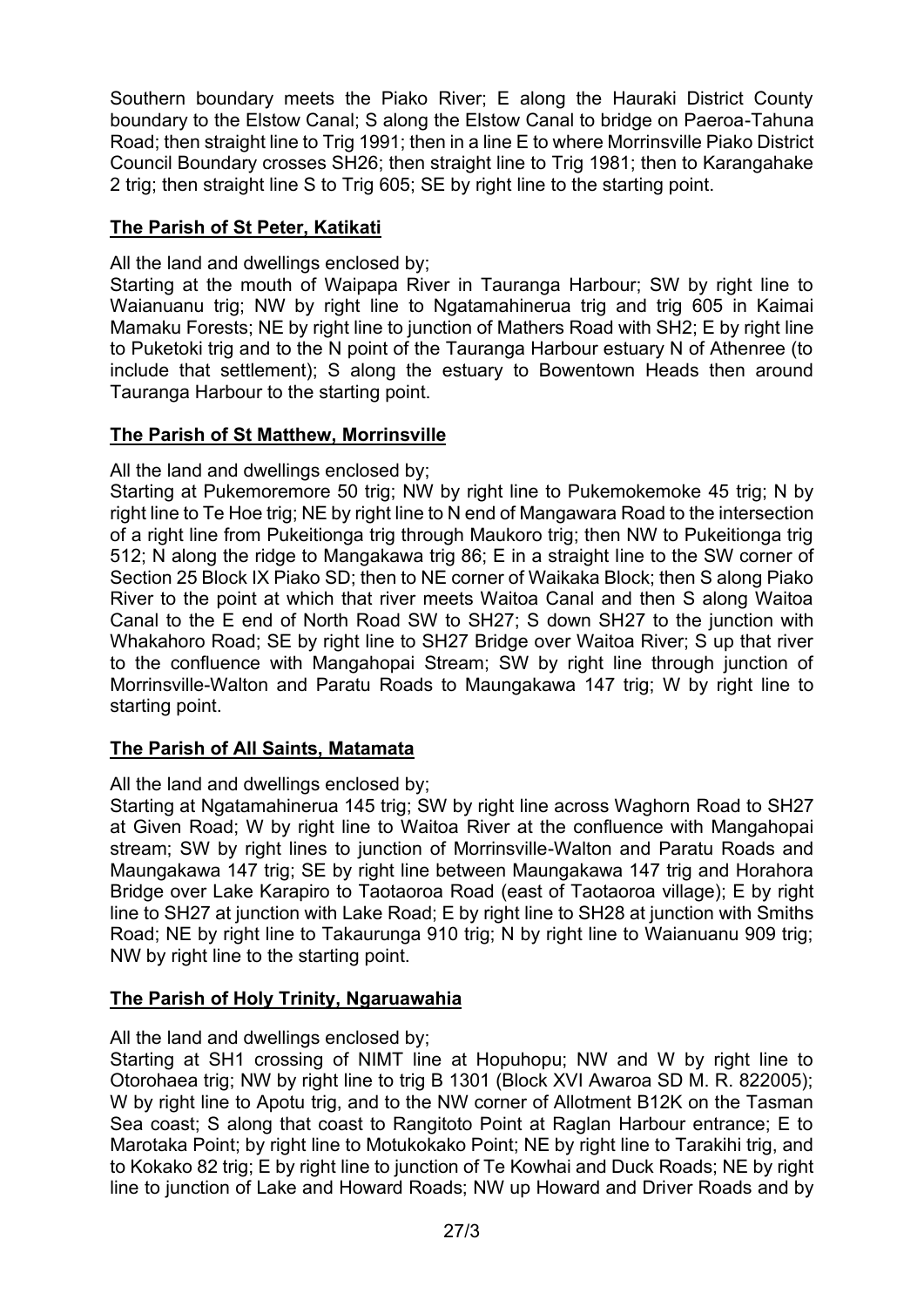Southern boundary meets the Piako River; E along the Hauraki District County boundary to the Elstow Canal; S along the Elstow Canal to bridge on Paeroa-Tahuna Road; then straight line to Trig 1991; then in a line E to where Morrinsville Piako District Council Boundary crosses SH26; then straight line to Trig 1981; then to Karangahake 2 trig; then straight line S to Trig 605; SE by right line to the starting point.

# **The Parish of St Peter, Katikati**

All the land and dwellings enclosed by;

Starting at the mouth of Waipapa River in Tauranga Harbour; SW by right line to Waianuanu trig; NW by right line to Ngatamahinerua trig and trig 605 in Kaimai Mamaku Forests; NE by right line to junction of Mathers Road with SH2; E by right line to Puketoki trig and to the N point of the Tauranga Harbour estuary N of Athenree (to include that settlement); S along the estuary to Bowentown Heads then around Tauranga Harbour to the starting point.

# **The Parish of St Matthew, Morrinsville**

All the land and dwellings enclosed by;

Starting at Pukemoremore 50 trig; NW by right line to Pukemokemoke 45 trig; N by right line to Te Hoe trig; NE by right line to N end of Mangawara Road to the intersection of a right line from Pukeitionga trig through Maukoro trig; then NW to Pukeitionga trig 512; N along the ridge to Mangakawa trig 86; E in a straight line to the SW corner of Section 25 Block IX Piako SD; then to NE corner of Waikaka Block; then S along Piako River to the point at which that river meets Waitoa Canal and then S along Waitoa Canal to the E end of North Road SW to SH27; S down SH27 to the junction with Whakahoro Road; SE by right line to SH27 Bridge over Waitoa River; S up that river to the confluence with Mangahopai Stream; SW by right line through junction of Morrinsville-Walton and Paratu Roads to Maungakawa 147 trig; W by right line to starting point.

# **The Parish of All Saints, Matamata**

All the land and dwellings enclosed by;

Starting at Ngatamahinerua 145 trig; SW by right line across Waghorn Road to SH27 at Given Road; W by right line to Waitoa River at the confluence with Mangahopai stream; SW by right lines to junction of Morrinsville-Walton and Paratu Roads and Maungakawa 147 trig; SE by right line between Maungakawa 147 trig and Horahora Bridge over Lake Karapiro to Taotaoroa Road (east of Taotaoroa village); E by right line to SH27 at junction with Lake Road; E by right line to SH28 at junction with Smiths Road; NE by right line to Takaurunga 910 trig; N by right line to Waianuanu 909 trig; NW by right line to the starting point.

# **The Parish of Holy Trinity, Ngaruawahia**

All the land and dwellings enclosed by;

Starting at SH1 crossing of NIMT line at Hopuhopu; NW and W by right line to Otorohaea trig; NW by right line to trig B 1301 (Block XVI Awaroa SD M. R. 822005); W by right line to Apotu trig, and to the NW corner of Allotment B12K on the Tasman Sea coast; S along that coast to Rangitoto Point at Raglan Harbour entrance; E to Marotaka Point; by right line to Motukokako Point; NE by right line to Tarakihi trig, and to Kokako 82 trig; E by right line to junction of Te Kowhai and Duck Roads; NE by right line to junction of Lake and Howard Roads; NW up Howard and Driver Roads and by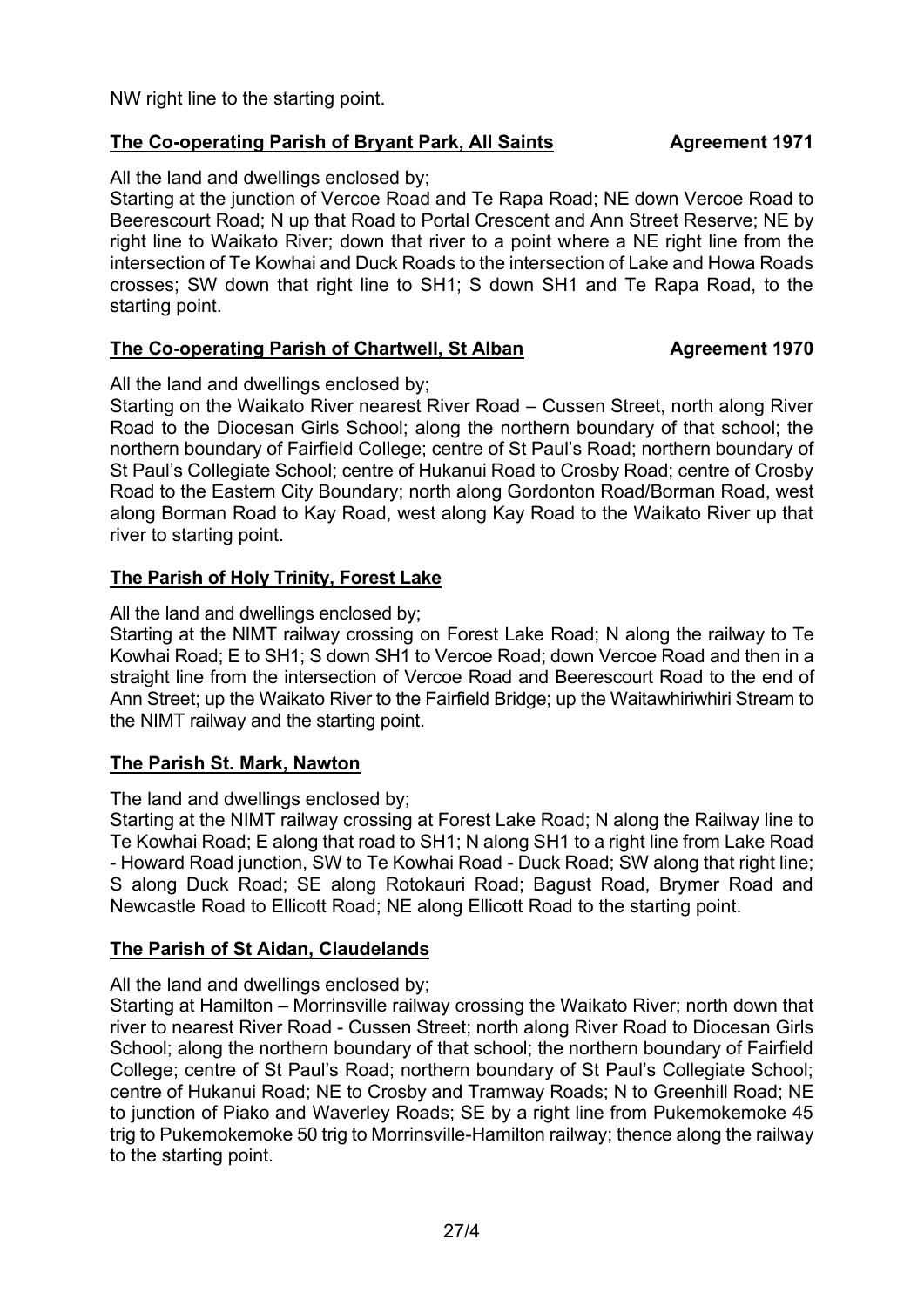NW right line to the starting point.

# **The Co-operating Parish of Bryant Park, All Saints Agreement 1971**

### All the land and dwellings enclosed by;

Starting at the junction of Vercoe Road and Te Rapa Road; NE down Vercoe Road to Beerescourt Road; N up that Road to Portal Crescent and Ann Street Reserve; NE by right line to Waikato River; down that river to a point where a NE right line from the intersection of Te Kowhai and Duck Roads to the intersection of Lake and Howa Roads crosses; SW down that right line to SH1; S down SH1 and Te Rapa Road, to the starting point.

# **The Co-operating Parish of Chartwell, St Alban Magreement 1970**

All the land and dwellings enclosed by;

Starting on the Waikato River nearest River Road – Cussen Street, north along River Road to the Diocesan Girls School; along the northern boundary of that school; the northern boundary of Fairfield College; centre of St Paul's Road; northern boundary of St Paul's Collegiate School; centre of Hukanui Road to Crosby Road; centre of Crosby Road to the Eastern City Boundary; north along Gordonton Road/Borman Road, west along Borman Road to Kay Road, west along Kay Road to the Waikato River up that river to starting point.

# **The Parish of Holy Trinity, Forest Lake**

All the land and dwellings enclosed by;

Starting at the NIMT railway crossing on Forest Lake Road; N along the railway to Te Kowhai Road; E to SH1; S down SH1 to Vercoe Road; down Vercoe Road and then in a straight line from the intersection of Vercoe Road and Beerescourt Road to the end of Ann Street; up the Waikato River to the Fairfield Bridge; up the Waitawhiriwhiri Stream to the NIMT railway and the starting point.

# **The Parish St. Mark, Nawton**

The land and dwellings enclosed by;

Starting at the NIMT railway crossing at Forest Lake Road; N along the Railway line to Te Kowhai Road; E along that road to SH1; N along SH1 to a right line from Lake Road - Howard Road junction, SW to Te Kowhai Road - Duck Road; SW along that right line; S along Duck Road; SE along Rotokauri Road; Bagust Road, Brymer Road and Newcastle Road to Ellicott Road; NE along Ellicott Road to the starting point.

# **The Parish of St Aidan, Claudelands**

### All the land and dwellings enclosed by;

Starting at Hamilton – Morrinsville railway crossing the Waikato River; north down that river to nearest River Road - Cussen Street; north along River Road to Diocesan Girls School; along the northern boundary of that school; the northern boundary of Fairfield College; centre of St Paul's Road; northern boundary of St Paul's Collegiate School; centre of Hukanui Road; NE to Crosby and Tramway Roads; N to Greenhill Road; NE to junction of Piako and Waverley Roads; SE by a right line from Pukemokemoke 45 trig to Pukemokemoke 50 trig to Morrinsville-Hamilton railway; thence along the railway to the starting point.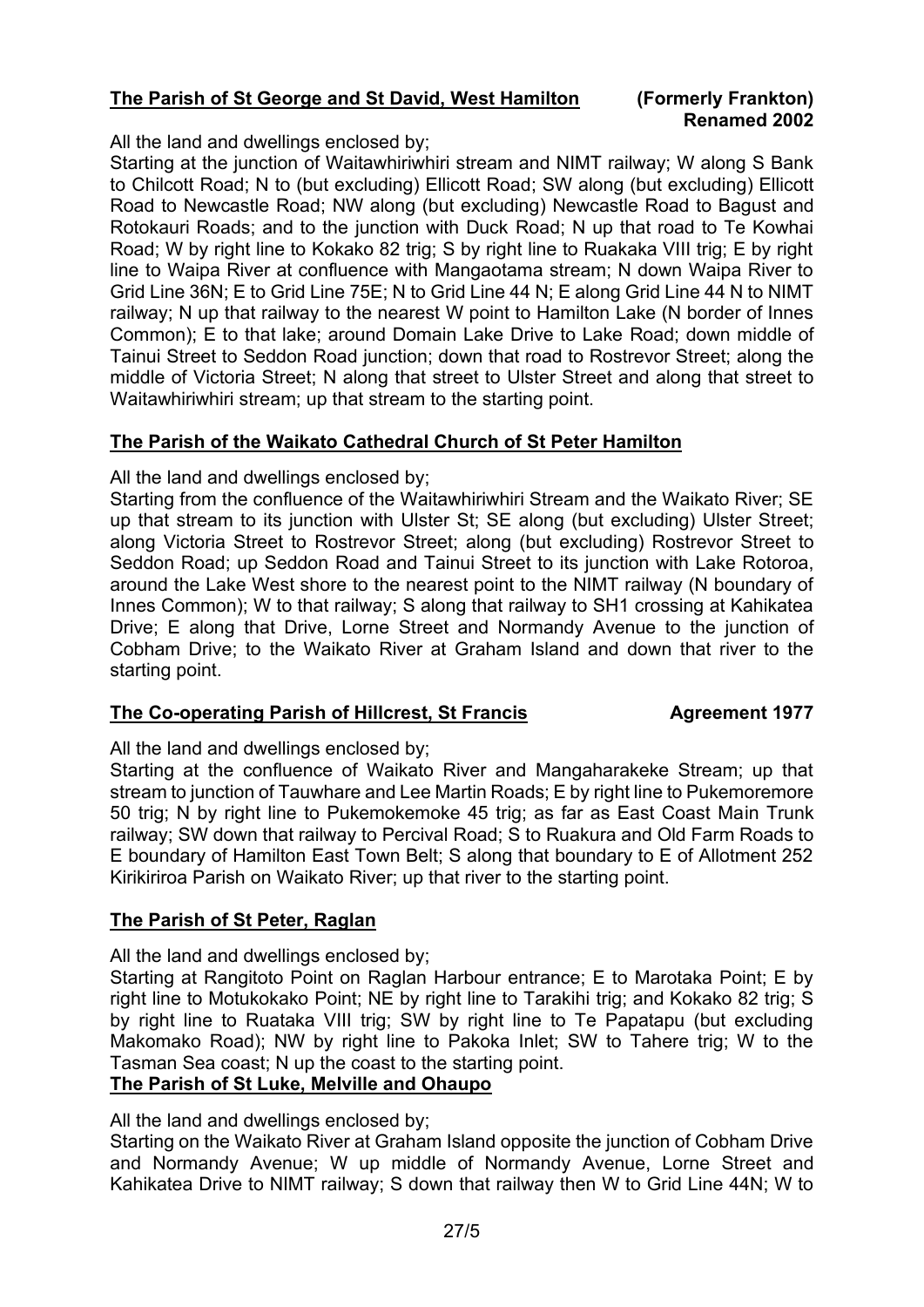# **The Parish of St George and St David, West Hamilton (Formerly Frankton)**

# **Renamed 2002**

All the land and dwellings enclosed by;

Starting at the junction of Waitawhiriwhiri stream and NIMT railway; W along S Bank to Chilcott Road; N to (but excluding) Ellicott Road; SW along (but excluding) Ellicott Road to Newcastle Road; NW along (but excluding) Newcastle Road to Bagust and Rotokauri Roads; and to the junction with Duck Road; N up that road to Te Kowhai Road; W by right line to Kokako 82 trig; S by right line to Ruakaka VIII trig; E by right line to Waipa River at confluence with Mangaotama stream; N down Waipa River to Grid Line 36N; E to Grid Line 75E; N to Grid Line 44 N; E along Grid Line 44 N to NIMT railway; N up that railway to the nearest W point to Hamilton Lake (N border of Innes Common); E to that lake; around Domain Lake Drive to Lake Road; down middle of Tainui Street to Seddon Road junction; down that road to Rostrevor Street; along the middle of Victoria Street; N along that street to Ulster Street and along that street to Waitawhiriwhiri stream; up that stream to the starting point.

### **The Parish of the Waikato Cathedral Church of St Peter Hamilton**

All the land and dwellings enclosed by;

Starting from the confluence of the Waitawhiriwhiri Stream and the Waikato River; SE up that stream to its junction with Ulster St; SE along (but excluding) Ulster Street; along Victoria Street to Rostrevor Street; along (but excluding) Rostrevor Street to Seddon Road; up Seddon Road and Tainui Street to its junction with Lake Rotoroa, around the Lake West shore to the nearest point to the NIMT railway (N boundary of Innes Common); W to that railway; S along that railway to SH1 crossing at Kahikatea Drive; E along that Drive, Lorne Street and Normandy Avenue to the junction of Cobham Drive; to the Waikato River at Graham Island and down that river to the starting point.

### **The Co-operating Parish of Hillcrest, St Francis Agreement 1977**

All the land and dwellings enclosed by;

Starting at the confluence of Waikato River and Mangaharakeke Stream; up that stream to junction of Tauwhare and Lee Martin Roads; E by right line to Pukemoremore 50 trig; N by right line to Pukemokemoke 45 trig; as far as East Coast Main Trunk railway; SW down that railway to Percival Road; S to Ruakura and Old Farm Roads to E boundary of Hamilton East Town Belt; S along that boundary to E of Allotment 252 Kirikiriroa Parish on Waikato River; up that river to the starting point.

### **The Parish of St Peter, Raglan**

All the land and dwellings enclosed by;

Starting at Rangitoto Point on Raglan Harbour entrance; E to Marotaka Point; E by right line to Motukokako Point; NE by right line to Tarakihi trig; and Kokako 82 trig; S by right line to Ruataka VIII trig; SW by right line to Te Papatapu (but excluding Makomako Road); NW by right line to Pakoka Inlet; SW to Tahere trig; W to the Tasman Sea coast; N up the coast to the starting point.

### **The Parish of St Luke, Melville and Ohaupo**

All the land and dwellings enclosed by;

Starting on the Waikato River at Graham Island opposite the junction of Cobham Drive and Normandy Avenue; W up middle of Normandy Avenue, Lorne Street and Kahikatea Drive to NIMT railway; S down that railway then W to Grid Line 44N; W to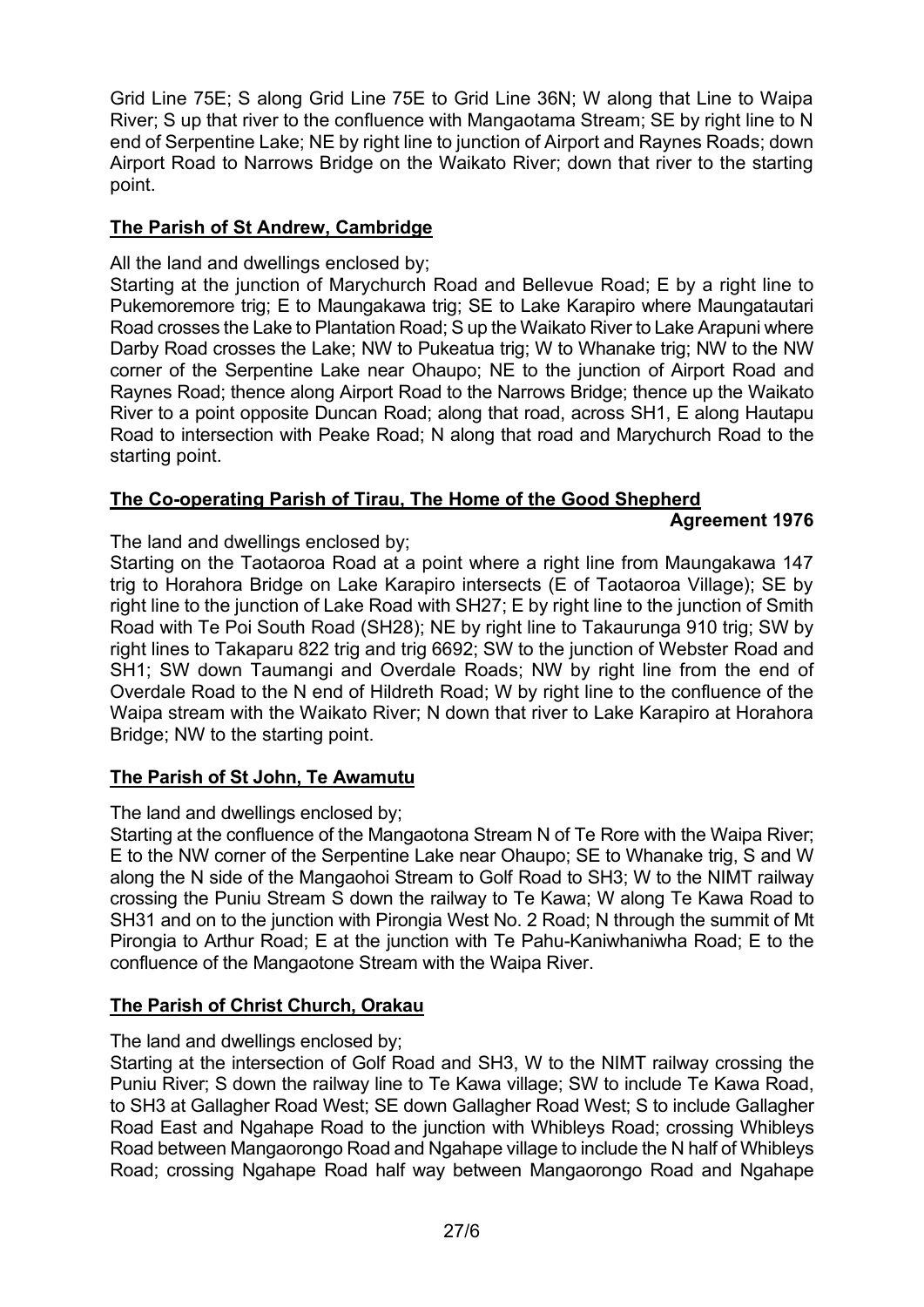Grid Line 75E; S along Grid Line 75E to Grid Line 36N; W along that Line to Waipa River; S up that river to the confluence with Mangaotama Stream; SE by right line to N end of Serpentine Lake; NE by right line to junction of Airport and Raynes Roads; down Airport Road to Narrows Bridge on the Waikato River; down that river to the starting point.

# **The Parish of St Andrew, Cambridge**

All the land and dwellings enclosed by;

Starting at the junction of Marychurch Road and Bellevue Road; E by a right line to Pukemoremore trig; E to Maungakawa trig; SE to Lake Karapiro where Maungatautari Road crosses the Lake to Plantation Road; S up the Waikato River to Lake Arapuni where Darby Road crosses the Lake; NW to Pukeatua trig; W to Whanake trig; NW to the NW corner of the Serpentine Lake near Ohaupo; NE to the junction of Airport Road and Raynes Road; thence along Airport Road to the Narrows Bridge; thence up the Waikato River to a point opposite Duncan Road; along that road, across SH1, E along Hautapu Road to intersection with Peake Road; N along that road and Marychurch Road to the starting point.

# **The Co-operating Parish of Tirau, The Home of the Good Shepherd**

### **Agreement 1976**

The land and dwellings enclosed by;

Starting on the Taotaoroa Road at a point where a right line from Maungakawa 147 trig to Horahora Bridge on Lake Karapiro intersects (E of Taotaoroa Village); SE by right line to the junction of Lake Road with SH27; E by right line to the junction of Smith Road with Te Poi South Road (SH28); NE by right line to Takaurunga 910 trig; SW by right lines to Takaparu 822 trig and trig 6692; SW to the junction of Webster Road and SH1; SW down Taumangi and Overdale Roads; NW by right line from the end of Overdale Road to the N end of Hildreth Road; W by right line to the confluence of the Waipa stream with the Waikato River; N down that river to Lake Karapiro at Horahora Bridge; NW to the starting point.

### **The Parish of St John, Te Awamutu**

### The land and dwellings enclosed by;

Starting at the confluence of the Mangaotona Stream N of Te Rore with the Waipa River; E to the NW corner of the Serpentine Lake near Ohaupo; SE to Whanake trig, S and W along the N side of the Mangaohoi Stream to Golf Road to SH3; W to the NIMT railway crossing the Puniu Stream S down the railway to Te Kawa; W along Te Kawa Road to SH31 and on to the junction with Pirongia West No. 2 Road; N through the summit of Mt Pirongia to Arthur Road; E at the junction with Te Pahu-Kaniwhaniwha Road; E to the confluence of the Mangaotone Stream with the Waipa River.

# **The Parish of Christ Church, Orakau**

### The land and dwellings enclosed by;

Starting at the intersection of Golf Road and SH3, W to the NIMT railway crossing the Puniu River; S down the railway line to Te Kawa village; SW to include Te Kawa Road, to SH3 at Gallagher Road West; SE down Gallagher Road West; S to include Gallagher Road East and Ngahape Road to the junction with Whibleys Road; crossing Whibleys Road between Mangaorongo Road and Ngahape village to include the N half of Whibleys Road; crossing Ngahape Road half way between Mangaorongo Road and Ngahape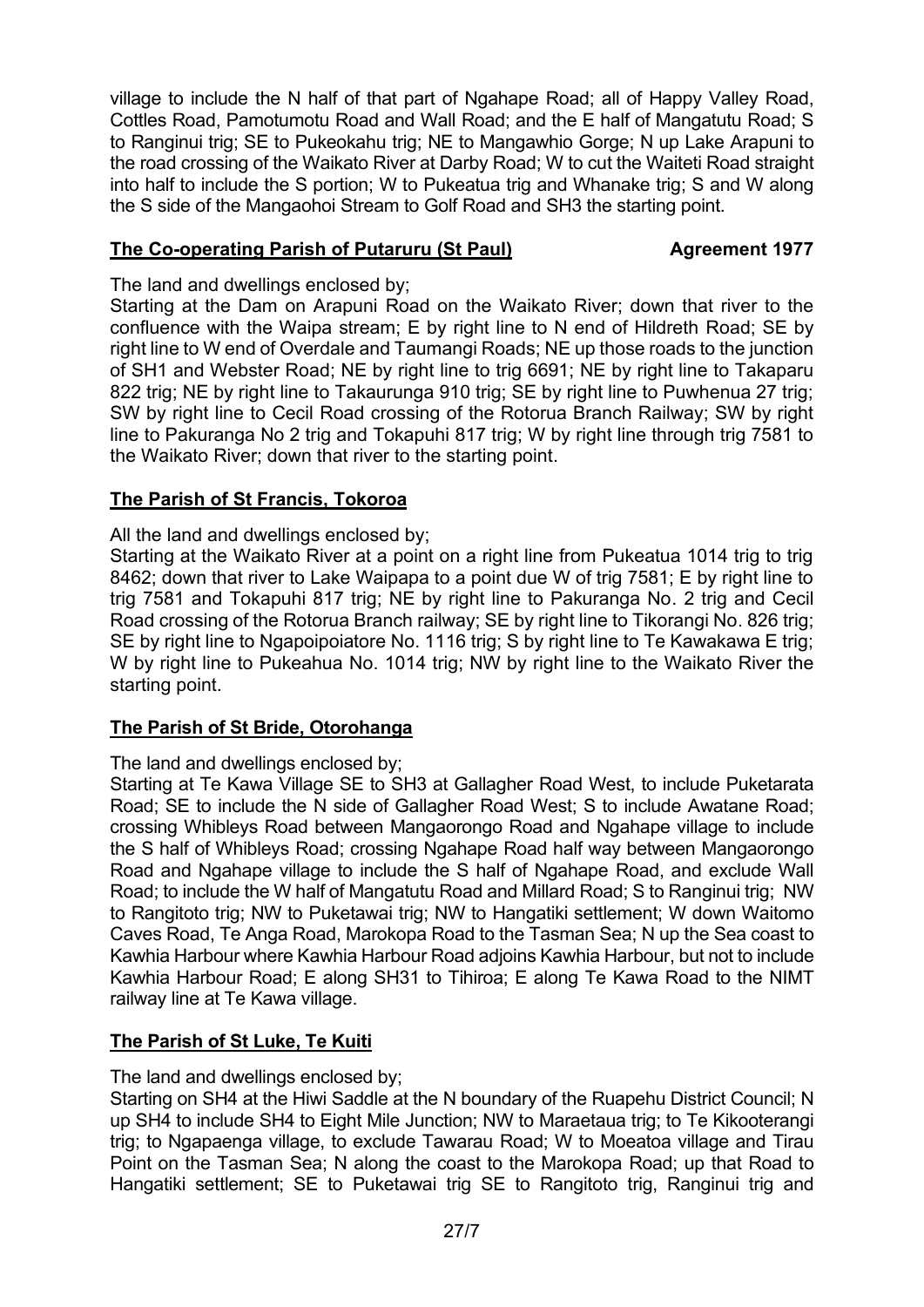village to include the N half of that part of Ngahape Road; all of Happy Valley Road, Cottles Road, Pamotumotu Road and Wall Road; and the E half of Mangatutu Road; S to Ranginui trig; SE to Pukeokahu trig; NE to Mangawhio Gorge; N up Lake Arapuni to the road crossing of the Waikato River at Darby Road; W to cut the Waiteti Road straight into half to include the S portion; W to Pukeatua trig and Whanake trig; S and W along the S side of the Mangaohoi Stream to Golf Road and SH3 the starting point.

# **The Co-operating Parish of Putaruru (St Paul) Agreement 1977**

#### The land and dwellings enclosed by;

Starting at the Dam on Arapuni Road on the Waikato River; down that river to the confluence with the Waipa stream; E by right line to N end of Hildreth Road; SE by right line to W end of Overdale and Taumangi Roads; NE up those roads to the junction of SH1 and Webster Road; NE by right line to trig 6691; NE by right line to Takaparu 822 trig; NE by right line to Takaurunga 910 trig; SE by right line to Puwhenua 27 trig; SW by right line to Cecil Road crossing of the Rotorua Branch Railway; SW by right line to Pakuranga No 2 trig and Tokapuhi 817 trig; W by right line through trig 7581 to the Waikato River; down that river to the starting point.

# **The Parish of St Francis, Tokoroa**

All the land and dwellings enclosed by;

Starting at the Waikato River at a point on a right line from Pukeatua 1014 trig to trig 8462; down that river to Lake Waipapa to a point due W of trig 7581; E by right line to trig 7581 and Tokapuhi 817 trig; NE by right line to Pakuranga No. 2 trig and Cecil Road crossing of the Rotorua Branch railway; SE by right line to Tikorangi No. 826 trig; SE by right line to Ngapoipoiatore No. 1116 trig; S by right line to Te Kawakawa E trig; W by right line to Pukeahua No. 1014 trig; NW by right line to the Waikato River the starting point.

### **The Parish of St Bride, Otorohanga**

### The land and dwellings enclosed by;

Starting at Te Kawa Village SE to SH3 at Gallagher Road West, to include Puketarata Road; SE to include the N side of Gallagher Road West; S to include Awatane Road; crossing Whibleys Road between Mangaorongo Road and Ngahape village to include the S half of Whibleys Road; crossing Ngahape Road half way between Mangaorongo Road and Ngahape village to include the S half of Ngahape Road, and exclude Wall Road; to include the W half of Mangatutu Road and Millard Road; S to Ranginui trig; NW to Rangitoto trig; NW to Puketawai trig; NW to Hangatiki settlement; W down Waitomo Caves Road, Te Anga Road, Marokopa Road to the Tasman Sea; N up the Sea coast to Kawhia Harbour where Kawhia Harbour Road adjoins Kawhia Harbour, but not to include Kawhia Harbour Road; E along SH31 to Tihiroa; E along Te Kawa Road to the NIMT railway line at Te Kawa village.

### **The Parish of St Luke, Te Kuiti**

### The land and dwellings enclosed by;

Starting on SH4 at the Hiwi Saddle at the N boundary of the Ruapehu District Council; N up SH4 to include SH4 to Eight Mile Junction; NW to Maraetaua trig; to Te Kikooterangi trig; to Ngapaenga village, to exclude Tawarau Road; W to Moeatoa village and Tirau Point on the Tasman Sea; N along the coast to the Marokopa Road; up that Road to Hangatiki settlement; SE to Puketawai trig SE to Rangitoto trig, Ranginui trig and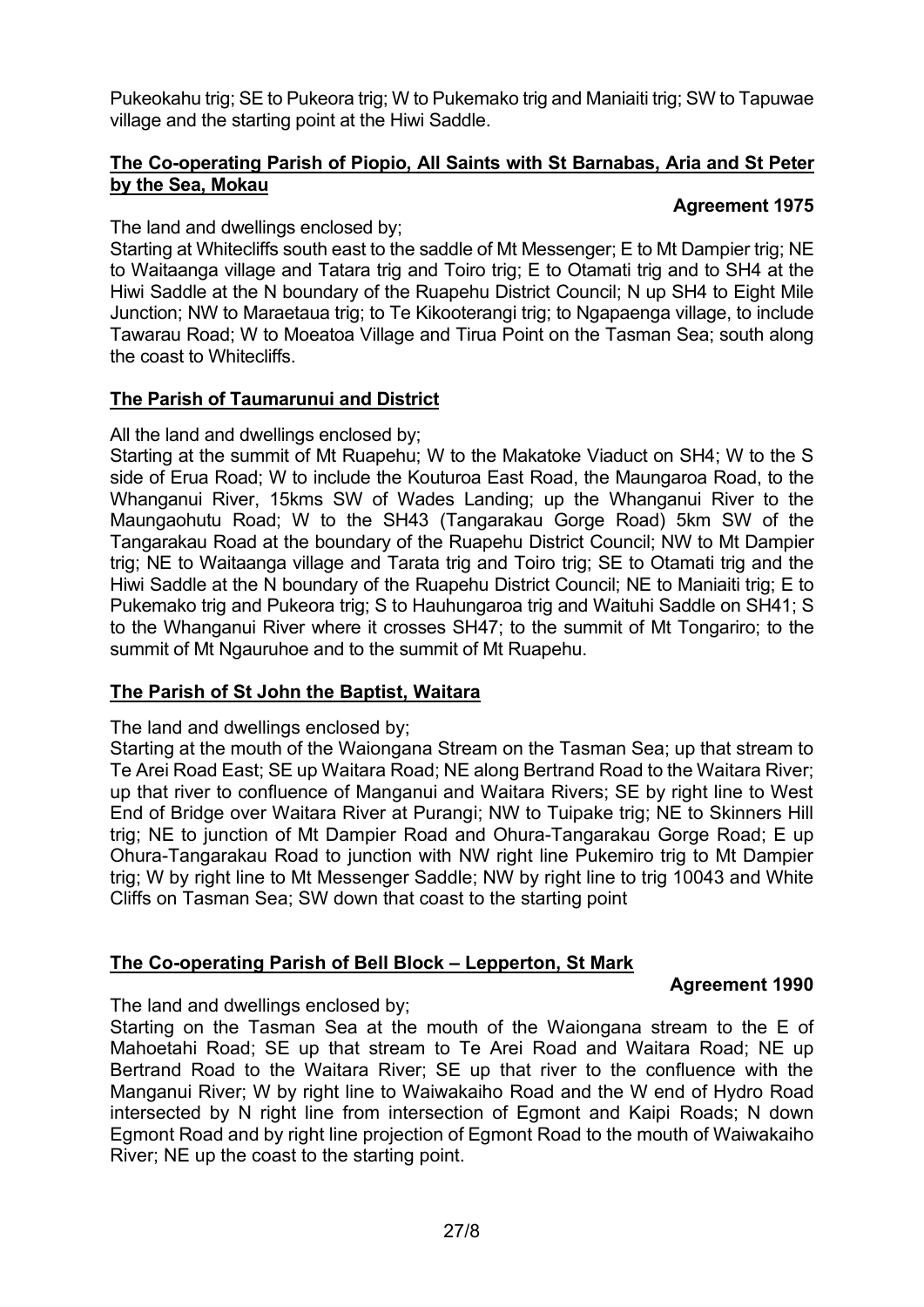Pukeokahu trig; SE to Pukeora trig; W to Pukemako trig and Maniaiti trig; SW to Tapuwae village and the starting point at the Hiwi Saddle.

#### **The Co-operating Parish of Piopio, All Saints with St Barnabas, Aria and St Peter by the Sea, Mokau**

#### **Agreement 1975**

The land and dwellings enclosed by;

Starting at Whitecliffs south east to the saddle of Mt Messenger; E to Mt Dampier trig; NE to Waitaanga village and Tatara trig and Toiro trig; E to Otamati trig and to SH4 at the Hiwi Saddle at the N boundary of the Ruapehu District Council; N up SH4 to Eight Mile Junction; NW to Maraetaua trig; to Te Kikooterangi trig; to Ngapaenga village, to include Tawarau Road; W to Moeatoa Village and Tirua Point on the Tasman Sea; south along the coast to Whitecliffs.

### **The Parish of Taumarunui and District**

All the land and dwellings enclosed by;

Starting at the summit of Mt Ruapehu; W to the Makatoke Viaduct on SH4; W to the S side of Erua Road; W to include the Kouturoa East Road, the Maungaroa Road, to the Whanganui River, 15kms SW of Wades Landing; up the Whanganui River to the Maungaohutu Road; W to the SH43 (Tangarakau Gorge Road) 5km SW of the Tangarakau Road at the boundary of the Ruapehu District Council; NW to Mt Dampier trig; NE to Waitaanga village and Tarata trig and Toiro trig; SE to Otamati trig and the Hiwi Saddle at the N boundary of the Ruapehu District Council; NE to Maniaiti trig; E to Pukemako trig and Pukeora trig; S to Hauhungaroa trig and Waituhi Saddle on SH41; S to the Whanganui River where it crosses SH47; to the summit of Mt Tongariro; to the summit of Mt Ngauruhoe and to the summit of Mt Ruapehu.

# **The Parish of St John the Baptist, Waitara**

The land and dwellings enclosed by;

Starting at the mouth of the Waiongana Stream on the Tasman Sea; up that stream to Te Arei Road East; SE up Waitara Road; NE along Bertrand Road to the Waitara River; up that river to confluence of Manganui and Waitara Rivers; SE by right line to West End of Bridge over Waitara River at Purangi; NW to Tuipake trig; NE to Skinners Hill trig; NE to junction of Mt Dampier Road and Ohura-Tangarakau Gorge Road; E up Ohura-Tangarakau Road to junction with NW right line Pukemiro trig to Mt Dampier trig; W by right line to Mt Messenger Saddle; NW by right line to trig 10043 and White Cliffs on Tasman Sea; SW down that coast to the starting point

# **The Co-operating Parish of Bell Block – Lepperton, St Mark**

#### **Agreement 1990**

The land and dwellings enclosed by;

Starting on the Tasman Sea at the mouth of the Waiongana stream to the E of Mahoetahi Road; SE up that stream to Te Arei Road and Waitara Road; NE up Bertrand Road to the Waitara River; SE up that river to the confluence with the Manganui River; W by right line to Waiwakaiho Road and the W end of Hydro Road intersected by N right line from intersection of Egmont and Kaipi Roads; N down Egmont Road and by right line projection of Egmont Road to the mouth of Waiwakaiho River; NE up the coast to the starting point.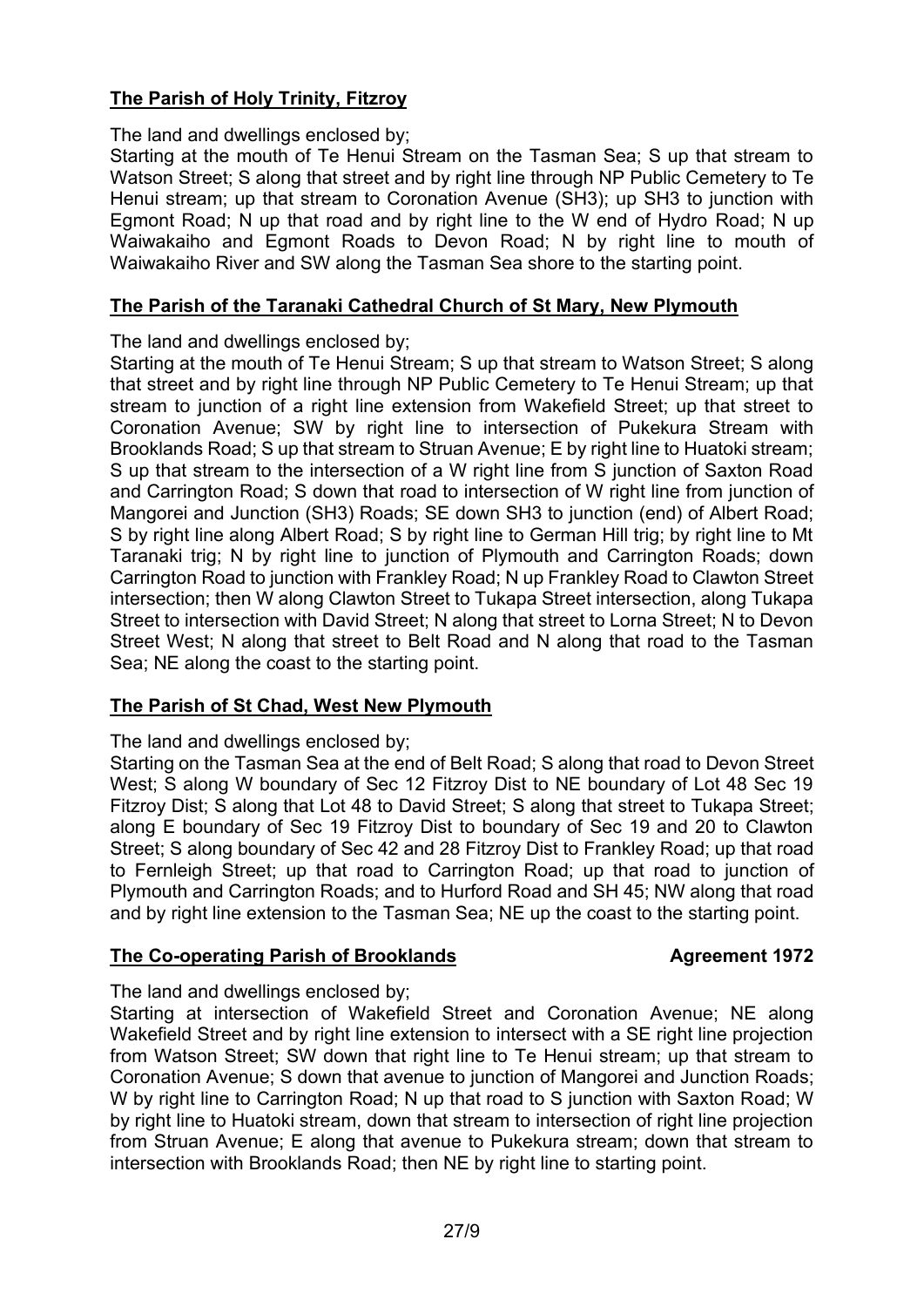# **The Parish of Holy Trinity, Fitzroy**

The land and dwellings enclosed by;

Starting at the mouth of Te Henui Stream on the Tasman Sea; S up that stream to Watson Street; S along that street and by right line through NP Public Cemetery to Te Henui stream; up that stream to Coronation Avenue (SH3); up SH3 to junction with Egmont Road; N up that road and by right line to the W end of Hydro Road; N up Waiwakaiho and Egmont Roads to Devon Road; N by right line to mouth of Waiwakaiho River and SW along the Tasman Sea shore to the starting point.

#### **The Parish of the Taranaki Cathedral Church of St Mary, New Plymouth**

The land and dwellings enclosed by;

Starting at the mouth of Te Henui Stream; S up that stream to Watson Street; S along that street and by right line through NP Public Cemetery to Te Henui Stream; up that stream to junction of a right line extension from Wakefield Street; up that street to Coronation Avenue; SW by right line to intersection of Pukekura Stream with Brooklands Road; S up that stream to Struan Avenue; E by right line to Huatoki stream; S up that stream to the intersection of a W right line from S junction of Saxton Road and Carrington Road; S down that road to intersection of W right line from junction of Mangorei and Junction (SH3) Roads; SE down SH3 to junction (end) of Albert Road; S by right line along Albert Road; S by right line to German Hill trig; by right line to Mt Taranaki trig; N by right line to junction of Plymouth and Carrington Roads; down Carrington Road to junction with Frankley Road; N up Frankley Road to Clawton Street intersection; then W along Clawton Street to Tukapa Street intersection, along Tukapa Street to intersection with David Street; N along that street to Lorna Street; N to Devon Street West; N along that street to Belt Road and N along that road to the Tasman Sea; NE along the coast to the starting point.

### **The Parish of St Chad, West New Plymouth**

The land and dwellings enclosed by;

Starting on the Tasman Sea at the end of Belt Road; S along that road to Devon Street West; S along W boundary of Sec 12 Fitzroy Dist to NE boundary of Lot 48 Sec 19 Fitzroy Dist; S along that Lot 48 to David Street; S along that street to Tukapa Street; along E boundary of Sec 19 Fitzroy Dist to boundary of Sec 19 and 20 to Clawton Street; S along boundary of Sec 42 and 28 Fitzroy Dist to Frankley Road; up that road to Fernleigh Street; up that road to Carrington Road; up that road to junction of Plymouth and Carrington Roads; and to Hurford Road and SH 45; NW along that road and by right line extension to the Tasman Sea; NE up the coast to the starting point.

#### **The Co-operating Parish of Brooklands Agreement 1972**

The land and dwellings enclosed by;

Starting at intersection of Wakefield Street and Coronation Avenue; NE along Wakefield Street and by right line extension to intersect with a SE right line projection from Watson Street; SW down that right line to Te Henui stream; up that stream to Coronation Avenue; S down that avenue to junction of Mangorei and Junction Roads; W by right line to Carrington Road; N up that road to S junction with Saxton Road; W by right line to Huatoki stream, down that stream to intersection of right line projection from Struan Avenue; E along that avenue to Pukekura stream; down that stream to intersection with Brooklands Road; then NE by right line to starting point.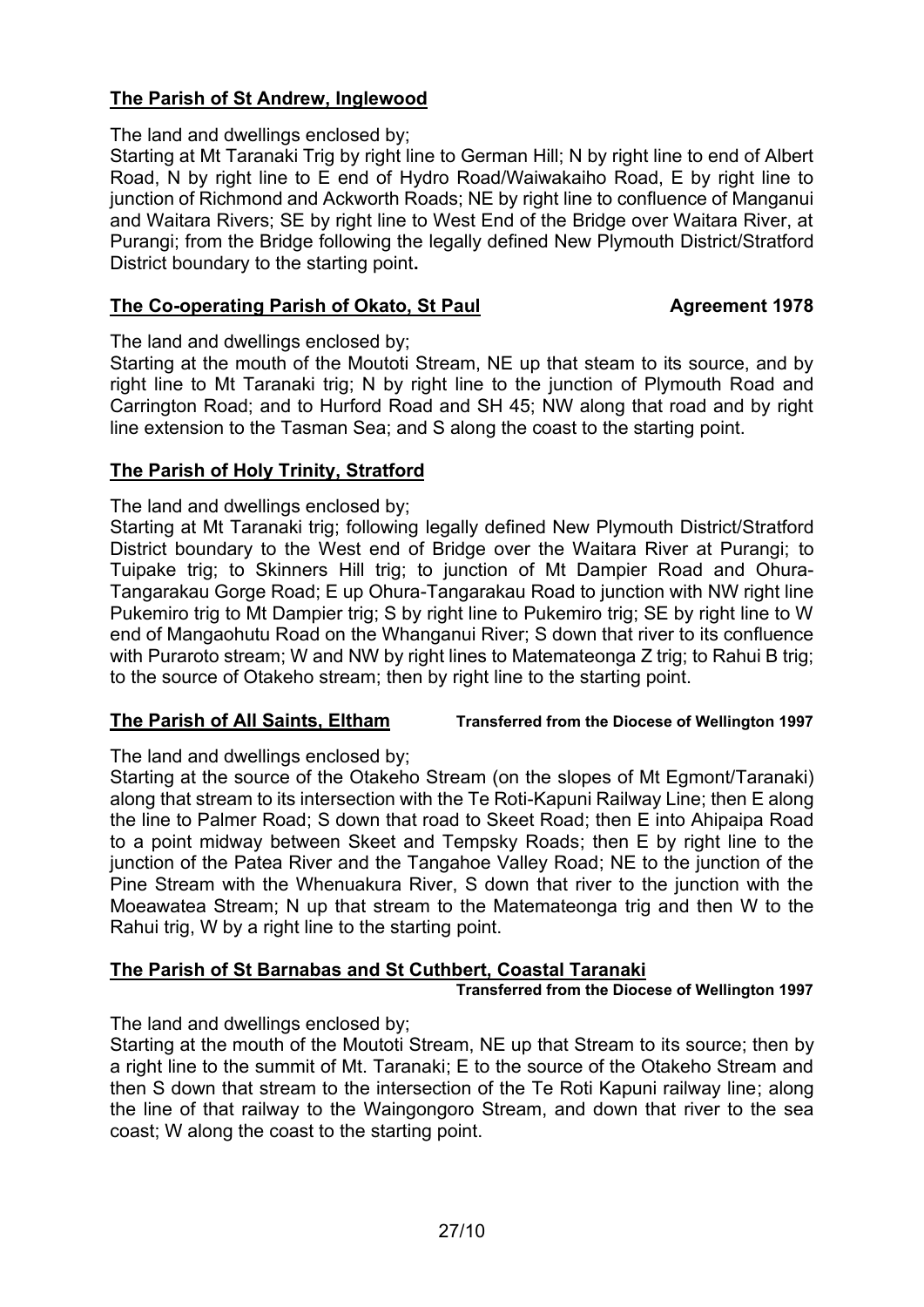# **The Parish of St Andrew, Inglewood**

The land and dwellings enclosed by;

Starting at Mt Taranaki Trig by right line to German Hill; N by right line to end of Albert Road, N by right line to E end of Hydro Road/Waiwakaiho Road, E by right line to junction of Richmond and Ackworth Roads; NE by right line to confluence of Manganui and Waitara Rivers; SE by right line to West End of the Bridge over Waitara River, at Purangi; from the Bridge following the legally defined New Plymouth District/Stratford District boundary to the starting point**.**

#### **The Co-operating Parish of Okato, St Paul Agreement 1978**

The land and dwellings enclosed by;

Starting at the mouth of the Moutoti Stream, NE up that steam to its source, and by right line to Mt Taranaki trig; N by right line to the junction of Plymouth Road and Carrington Road; and to Hurford Road and SH 45; NW along that road and by right line extension to the Tasman Sea; and S along the coast to the starting point.

#### **The Parish of Holy Trinity, Stratford**

The land and dwellings enclosed by;

Starting at Mt Taranaki trig; following legally defined New Plymouth District/Stratford District boundary to the West end of Bridge over the Waitara River at Purangi; to Tuipake trig; to Skinners Hill trig; to junction of Mt Dampier Road and Ohura-Tangarakau Gorge Road; E up Ohura-Tangarakau Road to junction with NW right line Pukemiro trig to Mt Dampier trig; S by right line to Pukemiro trig; SE by right line to W end of Mangaohutu Road on the Whanganui River; S down that river to its confluence with Puraroto stream; W and NW by right lines to Matemateonga Z trig; to Rahui B trig; to the source of Otakeho stream; then by right line to the starting point.

#### **The Parish of All Saints, Eltham Transferred from the Diocese of Wellington 1997**

The land and dwellings enclosed by;

Starting at the source of the Otakeho Stream (on the slopes of Mt Egmont/Taranaki) along that stream to its intersection with the Te Roti-Kapuni Railway Line; then E along the line to Palmer Road; S down that road to Skeet Road; then E into Ahipaipa Road to a point midway between Skeet and Tempsky Roads; then E by right line to the junction of the Patea River and the Tangahoe Valley Road; NE to the junction of the Pine Stream with the Whenuakura River, S down that river to the junction with the Moeawatea Stream; N up that stream to the Matemateonga trig and then W to the Rahui trig, W by a right line to the starting point.

### **The Parish of St Barnabas and St Cuthbert, Coastal Taranaki**

**Transferred from the Diocese of Wellington 1997**

The land and dwellings enclosed by;

Starting at the mouth of the Moutoti Stream, NE up that Stream to its source; then by a right line to the summit of Mt. Taranaki; E to the source of the Otakeho Stream and then S down that stream to the intersection of the Te Roti Kapuni railway line; along the line of that railway to the Waingongoro Stream, and down that river to the sea coast; W along the coast to the starting point.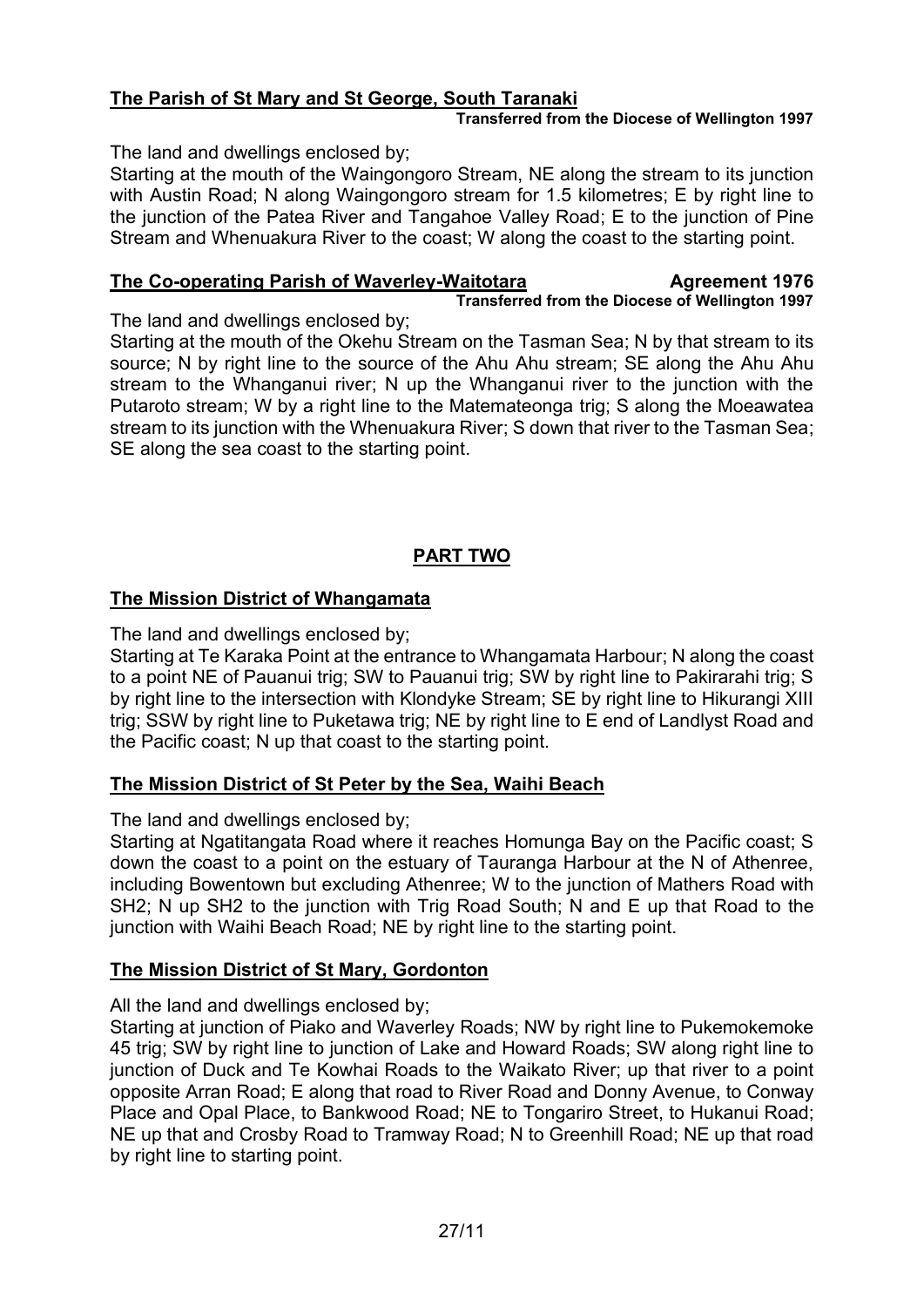# **The Parish of St Mary and St George, South Taranaki**

#### **Transferred from the Diocese of Wellington 1997**

The land and dwellings enclosed by;

Starting at the mouth of the Waingongoro Stream, NE along the stream to its junction with Austin Road; N along Waingongoro stream for 1.5 kilometres; E by right line to the junction of the Patea River and Tangahoe Valley Road; E to the junction of Pine Stream and Whenuakura River to the coast; W along the coast to the starting point.

#### **The Co-operating Parish of Waverley-Waitotara Magreement 1976 Transferred from the Diocese of Wellington 1997**

The land and dwellings enclosed by;

Starting at the mouth of the Okehu Stream on the Tasman Sea; N by that stream to its source; N by right line to the source of the Ahu Ahu stream; SE along the Ahu Ahu stream to the Whanganui river; N up the Whanganui river to the junction with the Putaroto stream; W by a right line to the Matemateonga trig; S along the Moeawatea stream to its junction with the Whenuakura River; S down that river to the Tasman Sea; SE along the sea coast to the starting point.

# **PART TWO**

# **The Mission District of Whangamata**

The land and dwellings enclosed by;

Starting at Te Karaka Point at the entrance to Whangamata Harbour; N along the coast to a point NE of Pauanui trig; SW to Pauanui trig; SW by right line to Pakirarahi trig; S by right line to the intersection with Klondyke Stream; SE by right line to Hikurangi XIII trig; SSW by right line to Puketawa trig; NE by right line to E end of Landlyst Road and the Pacific coast; N up that coast to the starting point.

### **The Mission District of St Peter by the Sea, Waihi Beach**

The land and dwellings enclosed by;

Starting at Ngatitangata Road where it reaches Homunga Bay on the Pacific coast; S down the coast to a point on the estuary of Tauranga Harbour at the N of Athenree, including Bowentown but excluding Athenree; W to the junction of Mathers Road with SH2; N up SH2 to the junction with Trig Road South; N and E up that Road to the junction with Waihi Beach Road; NE by right line to the starting point.

### **The Mission District of St Mary, Gordonton**

All the land and dwellings enclosed by;

Starting at junction of Piako and Waverley Roads; NW by right line to Pukemokemoke 45 trig; SW by right line to junction of Lake and Howard Roads; SW along right line to junction of Duck and Te Kowhai Roads to the Waikato River; up that river to a point opposite Arran Road; E along that road to River Road and Donny Avenue, to Conway Place and Opal Place, to Bankwood Road; NE to Tongariro Street, to Hukanui Road; NE up that and Crosby Road to Tramway Road; N to Greenhill Road; NE up that road by right line to starting point.